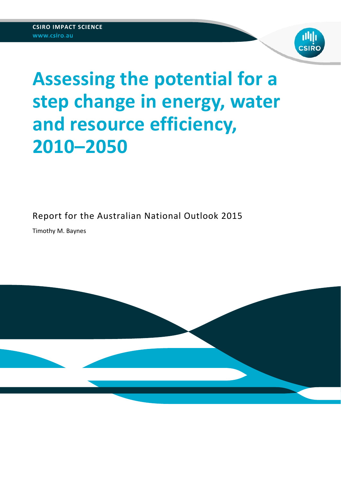

# **Assessing the potential for a step change in energy, water and resource efficiency, 2010–2050**

Report for the Australian National Outlook 2015

Timothy M. Baynes

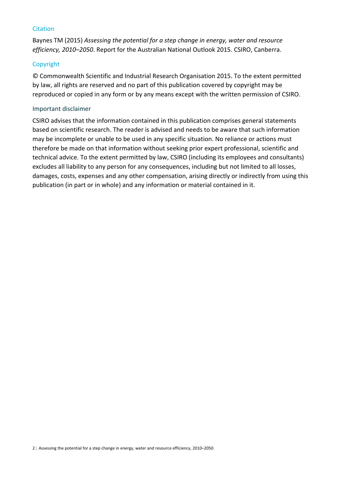### **Citation**

Baynes TM (2015) *Assessing the potential for a step change in energy, water and resource efficiency, 2010–2050*. Report for the Australian National Outlook 2015. CSIRO, Canberra.

### Copyright

© Commonwealth Scientific and Industrial Research Organisation 2015. To the extent permitted by law, all rights are reserved and no part of this publication covered by copyright may be reproduced or copied in any form or by any means except with the written permission of CSIRO.

### Important disclaimer

CSIRO advises that the information contained in this publication comprises general statements based on scientific research. The reader is advised and needs to be aware that such information may be incomplete or unable to be used in any specific situation. No reliance or actions must therefore be made on that information without seeking prior expert professional, scientific and technical advice. To the extent permitted by law, CSIRO (including its employees and consultants) excludes all liability to any person for any consequences, including but not limited to all losses, damages, costs, expenses and any other compensation, arising directly or indirectly from using this publication (in part or in whole) and any information or material contained in it.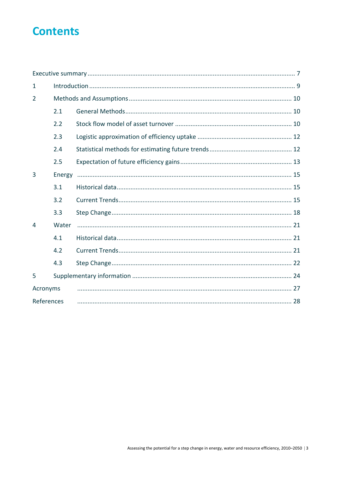## **Contents**

| 1              |        |  |
|----------------|--------|--|
| $\overline{2}$ |        |  |
|                | 2.1    |  |
|                | 2.2    |  |
|                | 2.3    |  |
|                | 2.4    |  |
|                | 2.5    |  |
| 3              | Energy |  |
|                | 3.1    |  |
|                | 3.2    |  |
|                | 3.3    |  |
| 4              | Water  |  |
|                | 4.1    |  |
|                | 4.2    |  |
|                | 4.3    |  |
| 5              |        |  |
| Acronyms       |        |  |
| References     |        |  |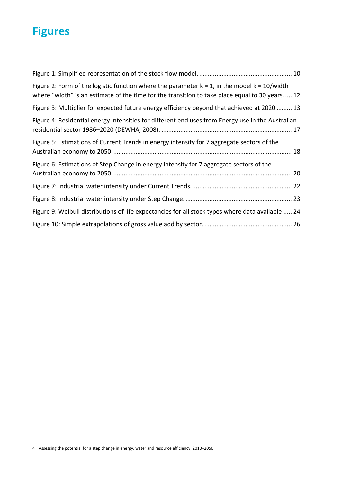## **Figures**

| Figure 2: Form of the logistic function where the parameter $k = 1$ , in the model $k = 10$ /width<br>where "width" is an estimate of the time for the transition to take place equal to 30 years 12 |
|------------------------------------------------------------------------------------------------------------------------------------------------------------------------------------------------------|
| Figure 3: Multiplier for expected future energy efficiency beyond that achieved at 2020  13                                                                                                          |
| Figure 4: Residential energy intensities for different end uses from Energy use in the Australian                                                                                                    |
| Figure 5: Estimations of Current Trends in energy intensity for 7 aggregate sectors of the                                                                                                           |
| Figure 6: Estimations of Step Change in energy intensity for 7 aggregate sectors of the                                                                                                              |
|                                                                                                                                                                                                      |
|                                                                                                                                                                                                      |
| Figure 9: Weibull distributions of life expectancies for all stock types where data available  24                                                                                                    |
|                                                                                                                                                                                                      |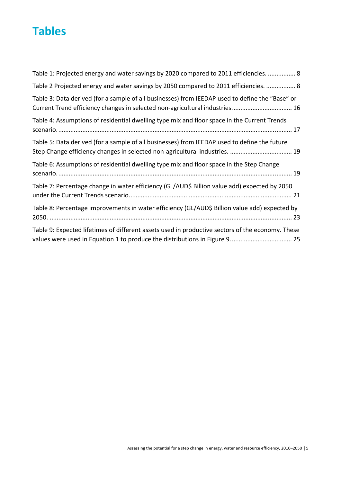## **Tables**

| Table 1: Projected energy and water savings by 2020 compared to 2011 efficiencies.  8                                                                                            |
|----------------------------------------------------------------------------------------------------------------------------------------------------------------------------------|
| Table 2 Projected energy and water savings by 2050 compared to 2011 efficiencies.  8                                                                                             |
| Table 3: Data derived (for a sample of all businesses) from IEEDAP used to define the "Base" or<br>Current Trend efficiency changes in selected non-agricultural industries 16   |
| Table 4: Assumptions of residential dwelling type mix and floor space in the Current Trends                                                                                      |
| Table 5: Data derived (for a sample of all businesses) from IEEDAP used to define the future<br>Step Change efficiency changes in selected non-agricultural industries.  19      |
| Table 6: Assumptions of residential dwelling type mix and floor space in the Step Change                                                                                         |
| Table 7: Percentage change in water efficiency (GL/AUD\$ Billion value add) expected by 2050                                                                                     |
| Table 8: Percentage improvements in water efficiency (GL/AUD\$ Billion value add) expected by                                                                                    |
| Table 9: Expected lifetimes of different assets used in productive sectors of the economy. These<br>values were used in Equation 1 to produce the distributions in Figure 9.  25 |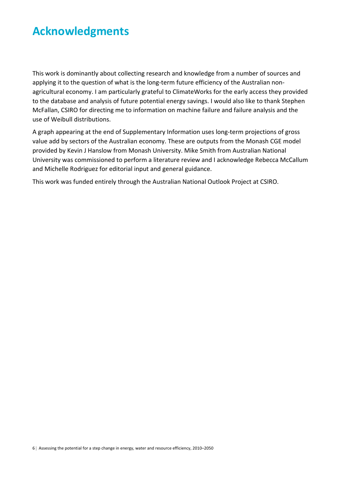## **Acknowledgments**

This work is dominantly about collecting research and knowledge from a number of sources and applying it to the question of what is the long-term future efficiency of the Australian nonagricultural economy. I am particularly grateful to ClimateWorks for the early access they provided to the database and analysis of future potential energy savings. I would also like to thank Stephen McFallan, CSIRO for directing me to information on machine failure and failure analysis and the use of Weibull distributions.

A graph appearing at the end of Supplementary Information uses long‐term projections of gross value add by sectors of the Australian economy. These are outputs from the Monash CGE model provided by Kevin J Hanslow from Monash University. Mike Smith from Australian National University was commissioned to perform a literature review and I acknowledge Rebecca McCallum and Michelle Rodriguez for editorial input and general guidance.

This work was funded entirely through the Australian National Outlook Project at CSIRO.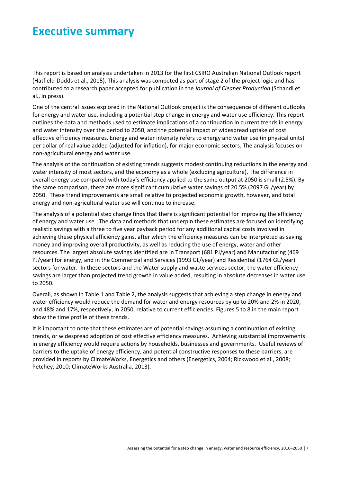## **Executive summary**

This report is based on analysis undertaken in 2013 for the first CSIRO Australian National Outlook report (Hatfield‐Dodds et al., 2015). This analysis was competed as part of stage 2 of the project logic and has contributed to a research paper accepted for publication in the *Journal of Cleaner Production* (Schandl et al., in press).

One of the central issues explored in the National Outlook project is the consequence of different outlooks for energy and water use, including a potential step change in energy and water use efficiency. This report outlines the data and methods used to estimate implications of a continuation in current trends in energy and water intensity over the period to 2050, and the potential impact of widespread uptake of cost effective efficiency measures. Energy and water intensity refers to energy and water use (in physical units) per dollar of real value added (adjusted for inflation), for major economic sectors. The analysis focuses on non‐agricultural energy and water use.

The analysis of the continuation of existing trends suggests modest continuing reductions in the energy and water intensity of most sectors, and the economy as a whole (excluding agriculture). The difference in overall energy use compared with today's efficiency applied to the same output at 2050 is small (2.5%). By the same comparison, there are more significant cumulative water savings of 20.5% (2097 GL/year) by 2050. These trend improvements are small relative to projected economic growth, however, and total energy and non‐agricultural water use will continue to increase.

The analysis of a potential step change finds that there is significant potential for improving the efficiency of energy and water use. The data and methods that underpin these estimates are focused on identifying realistic savings with a three to five year payback period for any additional capital costs involved in achieving these physical efficiency gains, after which the efficiency measures can be interpreted as saving money and improving overall productivity, as well as reducing the use of energy, water and other resources. The largest absolute savings identified are in Transport (681 PJ/year) and Manufacturing (469 PJ/year) for energy, and in the Commercial and Services (1993 GL/year) and Residential (1764 GL/year) sectors for water. In these sectors and the Water supply and waste services sector, the water efficiency savings are larger than projected trend growth in value added, resulting in absolute decreases in water use to 2050.

Overall, as shown in Table 1 and Table 2, the analysis suggests that achieving a step change in energy and water efficiency would reduce the demand for water and energy resources by up to 20% and 2% in 2020, and 48% and 17%, respectively, in 2050, relative to current efficiencies. Figures 5 to 8 in the main report show the time profile of these trends.

It is important to note that these estimates are of potential savings assuming a continuation of existing trends, or widespread adoption of cost effective efficiency measures. Achieving substantial improvements in energy efficiency would require actions by households, businesses and governments. Useful reviews of barriers to the uptake of energy efficiency, and potential constructive responses to these barriers, are provided in reports by ClimateWorks, Energetics and others (Energetics, 2004; Rickwood et al., 2008; Petchey, 2010; ClimateWorks Australia, 2013).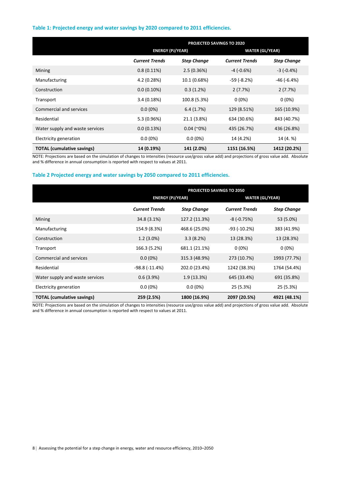#### **Table 1: Projected energy and water savings by 2020 compared to 2011 efficiencies.**

|                                   | PROJECTED SAVINGS TO 2020 |                         |                       |                        |
|-----------------------------------|---------------------------|-------------------------|-----------------------|------------------------|
|                                   |                           | <b>ENERGY (PJ/YEAR)</b> |                       | <b>WATER (GL/YEAR)</b> |
|                                   | <b>Current Trends</b>     | <b>Step Change</b>      | <b>Current Trends</b> | <b>Step Change</b>     |
| <b>Mining</b>                     | $0.8(0.11\%)$             | 2.5(0.36%)              | $-4$ ( $-0.6\%$ )     | $-3(-0.4\%)$           |
| Manufacturing                     | 4.2 (0.28%)               | 10.1 (0.68%)            | $-59$ ( $-8.2%$ )     | $-46(-6.4%)$           |
| Construction                      | 0.0(0.10%)                | 0.3(1.2%)               | 2(7.7%)               | 2(7.7%)                |
| Transport                         | 3.4(0.18%)                | 100.8 (5.3%)            | $0(0\%)$              | $0(0\%)$               |
| <b>Commercial and services</b>    | $0.0(0\%)$                | 6.4(1.7%)               | 129 (8.51%)           | 165 (10.9%)            |
| Residential                       | 5.3 (0.96%)               | 21.1 (3.8%)             | 634 (30.6%)           | 843 (40.7%)            |
| Water supply and waste services   | 0.0(0.13%)                | $0.04$ (~0%)            | 435 (26.7%)           | 436 (26.8%)            |
| Electricity generation            | $0.0(0\%)$                | $0.0(0\%)$              | 14 (4.2%)             | 14 (4. %)              |
| <b>TOTAL</b> (cumulative savings) | 14 (0.19%)                | 141 (2.0%)              | 1151 (16.5%)          | 1412 (20.2%)           |

NOTE: Projections are based on the simulation of changes to intensities (resource use/gross value add) and projections of gross value add. Absolute and % difference in annual consumption is reported with respect to values at 2011.

#### **Table 2 Projected energy and water savings by 2050 compared to 2011 efficiencies.**

|                                   | PROJECTED SAVINGS TO 2050 |                         |                       |                        |
|-----------------------------------|---------------------------|-------------------------|-----------------------|------------------------|
|                                   |                           | <b>ENERGY (PJ/YEAR)</b> |                       | <b>WATER (GL/YEAR)</b> |
|                                   | <b>Current Trends</b>     | <b>Step Change</b>      | <b>Current Trends</b> | <b>Step Change</b>     |
| <b>Mining</b>                     | 34.8 (3.1%)               | 127.2 (11.3%)           | $-8(-0.75%)$          | 53 (5.0%)              |
| Manufacturing                     | 154.9 (8.3%)              | 468.6 (25.0%)           | $-93$ ( $-10.2%$ )    | 383 (41.9%)            |
| Construction                      | $1.2(3.0\%)$              | 3.3(8.2%)               | 13 (28.3%)            | 13 (28.3%)             |
| Transport                         | 166.3 (5.2%)              | 681.1 (21.1%)           | $0(0\%)$              | $0(0\%)$               |
| <b>Commercial and services</b>    | $0.0(0\%)$                | 315.3 (48.9%)           | 273 (10.7%)           | 1993 (77.7%)           |
| Residential                       | $-98.8(-11.4%)$           | 202.0 (23.4%)           | 1242 (38.3%)          | 1764 (54.4%)           |
| Water supply and waste services   | 0.6(3.9%)                 | 1.9(13.3%)              | 645 (33.4%)           | 691 (35.8%)            |
| Electricity generation            | $0.0(0\%)$                | $0.0(0\%)$              | 25 (5.3%)             | 25 (5.3%)              |
| <b>TOTAL</b> (cumulative savings) | 259 (2.5%)                | 1800 (16.9%)            | 2097 (20.5%)          | 4921 (48.1%)           |

NOTE: Projections are based on the simulation of changes to intensities (resource use/gross value add) and projections of gross value add. Absolute and % difference in annual consumption is reported with respect to values at 2011.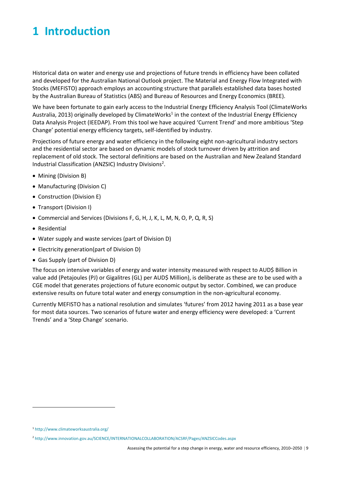## **1 Introduction**

Historical data on water and energy use and projections of future trends in efficiency have been collated and developed for the Australian National Outlook project. The Material and Energy Flow Integrated with Stocks (MEFISTO) approach employs an accounting structure that parallels established data bases hosted by the Australian Bureau of Statistics (ABS) and Bureau of Resources and Energy Economics (BREE).

We have been fortunate to gain early access to the Industrial Energy Efficiency Analysis Tool (ClimateWorks Australia, 2013) originally developed by ClimateWorks<sup>1</sup> in the context of the Industrial Energy Efficiency Data Analysis Project (IEEDAP). From this tool we have acquired 'Current Trend' and more ambitious 'Step Change' potential energy efficiency targets, self‐identified by industry.

Projections of future energy and water efficiency in the following eight non-agricultural industry sectors and the residential sector are based on dynamic models of stock turnover driven by attrition and replacement of old stock. The sectoral definitions are based on the Australian and New Zealand Standard Industrial Classification (ANZSIC) Industry Divisions<sup>2</sup>.

- Mining (Division B)
- Manufacturing (Division C)
- Construction (Division E)
- Transport (Division I)
- Commercial and Services (Divisions F, G, H, J, K, L, M, N, O, P, Q, R, S)
- Residential
- Water supply and waste services (part of Division D)
- Electricity generation(part of Division D)
- Gas Supply (part of Division D)

The focus on intensive variables of energy and water intensity measured with respect to AUD\$ Billion in value add (Petajoules (PJ) or Gigalitres (GL) per AUD\$ Million), is deliberate as these are to be used with a CGE model that generates projections of future economic output by sector. Combined, we can produce extensive results on future total water and energy consumption in the non-agricultural economy.

Currently MEFISTO has a national resolution and simulates 'futures' from 2012 having 2011 as a base year for most data sources. Two scenarios of future water and energy efficiency were developed: a 'Current Trends' and a 'Step Change' scenario.

<sup>1</sup> http://www.climateworksaustralia.org/

<sup>2</sup> http://www.innovation.gov.au/SCIENCE/INTERNATIONALCOLLABORATION/ACSRF/Pages/ANZSICCodes.aspx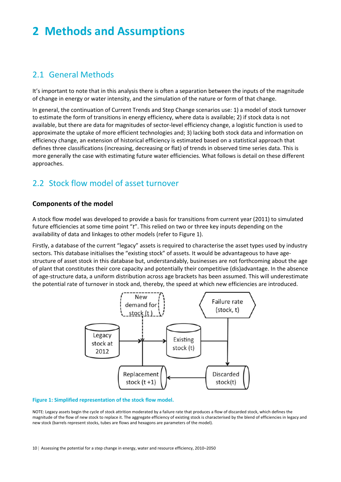## **2 Methods and Assumptions**

## 2.1 General Methods

It's important to note that in this analysis there is often a separation between the inputs of the magnitude of change in energy or water intensity, and the simulation of the nature or form of that change.

In general, the continuation of Current Trends and Step Change scenarios use: 1) a model of stock turnover to estimate the form of transitions in energy efficiency, where data is available; 2) if stock data is not available, but there are data for magnitudes of sector‐level efficiency change, a logistic function is used to approximate the uptake of more efficient technologies and; 3) lacking both stock data and information on efficiency change, an extension of historical efficiency is estimated based on a statistical approach that defines three classifications (increasing, decreasing or flat) of trends in observed time series data. This is more generally the case with estimating future water efficiencies. What follows is detail on these different approaches.

## 2.2 Stock flow model of asset turnover

### **Components of the model**

A stock flow model was developed to provide a basis for transitions from current year (2011) to simulated future efficiencies at some time point "*t*". This relied on two or three key inputs depending on the availability of data and linkages to other models (refer to Figure 1).

Firstly, a database of the current "legacy" assets is required to characterise the asset types used by industry sectors. This database initialises the "existing stock" of assets. It would be advantageous to have agestructure of asset stock in this database but, understandably, businesses are not forthcoming about the age of plant that constitutes their core capacity and potentially their competitive (dis)advantage. In the absence of age‐structure data, a uniform distribution across age brackets has been assumed. This will underestimate the potential rate of turnover in stock and, thereby, the speed at which new efficiencies are introduced.



#### **Figure 1: Simplified representation of the stock flow model.**

NOTE: Legacy assets begin the cycle of stock attrition moderated by a failure rate that produces a flow of discarded stock, which defines the magnitude of the flow of new stock to replace it. The aggregate efficiency of existing stock is characterised by the blend of efficiencies in legacy and new stock (barrels represent stocks, tubes are flows and hexagons are parameters of the model).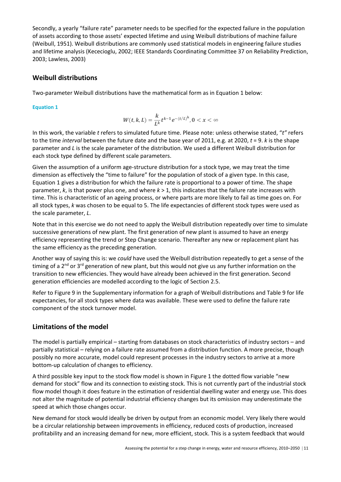Secondly, a yearly "failure rate" parameter needs to be specified for the expected failure in the population of assets according to those assets' expected lifetime and using Weibull distributions of machine failure (Weibull, 1951). Weibull distributions are commonly used statistical models in engineering failure studies and lifetime analysis (Kececioglu, 2002; IEEE Standards Coordinating Committee 37 on Reliability Prediction, 2003; Lawless, 2003)

### **Weibull distributions**

Two-parameter Weibull distributions have the mathematical form as in Equation 1 below:

**Equation 1** 

$$
W(t,k,L)=\frac{k}{L^k}t^{k-1}e^{-(t/L)^k}, 0 < x < \infty
$$

In this work, the variable *t* refers to simulated future time. Please note: unless otherwise stated, "*t"* refers to the time *interval* between the future date and the base year of 2011, e.g. at 2020, *t* = 9. *k* is the shape parameter and *L* is the scale parameter of the distribution. We used a different Weibull distribution for each stock type defined by different scale parameters.

Given the assumption of a uniform age-structure distribution for a stock type, we may treat the time dimension as effectively the "time to failure" for the population of stock of a given type. In this case, Equation 1 gives a distribution for which the failure rate is proportional to a power of time. The shape parameter, *k*, is that power plus one, and where *k* > 1, this indicates that the failure rate increases with time. This is characteristic of an ageing process, or where parts are more likely to fail as time goes on. For all stock types, *k* was chosen to be equal to 5. The life expectancies of different stock types were used as the scale parameter, *L*.

Note that in this exercise we do not need to apply the Weibull distribution repeatedly over time to simulate successive generations of new plant. The first generation of new plant is assumed to have an energy efficiency representing the trend or Step Change scenario. Thereafter any new or replacement plant has the same efficiency as the preceding generation.

Another way of saying this is: we *could* have used the Weibull distribution repeatedly to get a sense of the timing of a  $2<sup>nd</sup>$  or  $3<sup>rd</sup>$  generation of new plant, but this would not give us any further information on the transition to new efficiencies. They would have already been achieved in the first generation. Second generation efficiencies are modelled according to the logic of Section 2.5.

Refer to Figure 9 in the Supplementary information for a graph of Weibull distributions and Table 9 for life expectancies, for all stock types where data was available. These were used to define the failure rate component of the stock turnover model.

### **Limitations of the model**

The model is partially empirical – starting from databases on stock characteristics of industry sectors – and partially statistical – relying on a failure rate assumed from a distribution function. A more precise, though possibly no more accurate, model could represent processes in the industry sectors to arrive at a more bottom‐up calculation of changes to efficiency.

A third possible key input to the stock flow model is shown in Figure 1 the dotted flow variable "new demand for stock" flow and its connection to existing stock. This is not currently part of the industrial stock flow model though it does feature in the estimation of residential dwelling water and energy use. This does not alter the magnitude of potential industrial efficiency changes but its omission may underestimate the speed at which those changes occur.

New demand for stock would ideally be driven by output from an economic model. Very likely there would be a circular relationship between improvements in efficiency, reduced costs of production, increased profitability and an increasing demand for new, more efficient, stock. This is a system feedback that would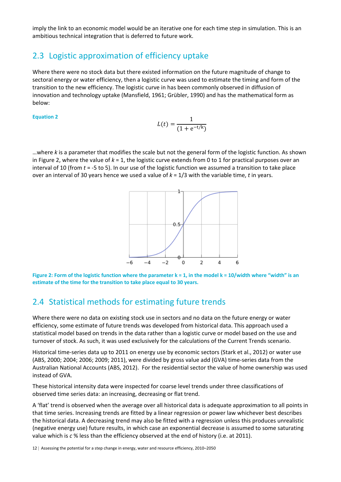imply the link to an economic model would be an iterative one for each time step in simulation. This is an ambitious technical integration that is deferred to future work.

## 2.3 Logistic approximation of efficiency uptake

Where there were no stock data but there existed information on the future magnitude of change to sectoral energy or water efficiency, then a logistic curve was used to estimate the timing and form of the transition to the new efficiency. The logistic curve in has been commonly observed in diffusion of innovation and technology uptake (Mansfield, 1961; Grübler, 1990) and has the mathematical form as below:

#### **Equation 2**

$$
L(t) = \frac{1}{(1 + e^{-t/k})}
$$

…where *k* is a parameter that modifies the scale but not the general form of the logistic function. As shown in Figure 2, where the value of *k* = 1, the logistic curve extends from 0 to 1 for practical purposes over an interval of 10 (from *t* = ‐5 to 5). In our use of the logistic function we assumed a transition to take place over an interval of 30 years hence we used a value of *k* = 1/3 with the variable time, *t* in years.



**Figure 2: Form of the logistic function where the parameter k = 1, in the model k = 10/width where "width" is an estimate of the time for the transition to take place equal to 30 years.**

## 2.4 Statistical methods for estimating future trends

Where there were no data on existing stock use in sectors and no data on the future energy or water efficiency, some estimate of future trends was developed from historical data. This approach used a statistical model based on trends in the data rather than a logistic curve or model based on the use and turnover of stock. As such, it was used exclusively for the calculations of the Current Trends scenario.

Historical time‐series data up to 2011 on energy use by economic sectors (Stark et al., 2012) or water use (ABS, 2000; 2004; 2006; 2009; 2011), were divided by gross value add (GVA) time‐series data from the Australian National Accounts (ABS, 2012). For the residential sector the value of home ownership was used instead of GVA.

These historical intensity data were inspected for coarse level trends under three classifications of observed time series data: an increasing, decreasing or flat trend.

A 'flat' trend is observed when the average over all historical data is adequate approximation to all points in that time series. Increasing trends are fitted by a linear regression or power law whichever best describes the historical data. A decreasing trend may also be fitted with a regression unless this produces unrealistic (negative energy use) future results, in which case an exponential decrease is assumed to some saturating value which is *c* % less than the efficiency observed at the end of history (i.e. at 2011).

12 | Assessing the potential for a step change in energy, water and resource efficiency, 2010-2050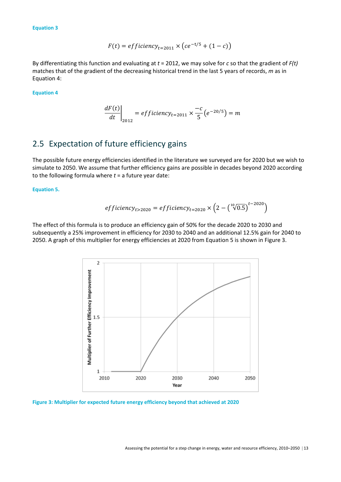**Equation 3** 

$$
F(t) = efficiency_{t=2011} \times (ce^{-t/5} + (1 - c))
$$

By differentiating this function and evaluating at *t* = 2012, we may solve for *c* so that the gradient of *F(t)* matches that of the gradient of the decreasing historical trend in the last 5 years of records, *m* as in Equation 4:

**Equation 4** 

$$
\left. \frac{dF(t)}{dt} \right|_{2012} = efficiency_{t=2011} \times \frac{-c}{5} \left( e^{-20/5} \right) = m
$$

### 2.5 Expectation of future efficiency gains

The possible future energy efficiencies identified in the literature we surveyed are for 2020 but we wish to simulate to 2050. We assume that further efficiency gains are possible in decades beyond 2020 according to the following formula where *t* = a future year date:

**Equation 5.** 

*efficiency*<sub>t>2020</sub> = *efficiency*<sub>t=2020</sub> × 
$$
(2 - {^{10}}\sqrt{0.5})^{t-2020}
$$

The effect of this formula is to produce an efficiency gain of 50% for the decade 2020 to 2030 and subsequently a 25% improvement in efficiency for 2030 to 2040 and an additional 12.5% gain for 2040 to 2050. A graph of this multiplier for energy efficiencies at 2020 from Equation 5 is shown in Figure 3.



**Figure 3: Multiplier for expected future energy efficiency beyond that achieved at 2020**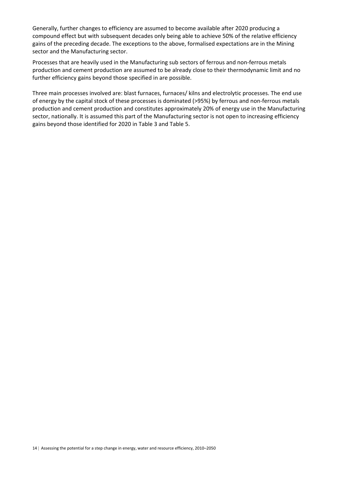Generally, further changes to efficiency are assumed to become available after 2020 producing a compound effect but with subsequent decades only being able to achieve 50% of the relative efficiency gains of the preceding decade. The exceptions to the above, formalised expectations are in the Mining sector and the Manufacturing sector.

Processes that are heavily used in the Manufacturing sub sectors of ferrous and non‐ferrous metals production and cement production are assumed to be already close to their thermodynamic limit and no further efficiency gains beyond those specified in are possible.

Three main processes involved are: blast furnaces, furnaces/ kilns and electrolytic processes. The end use of energy by the capital stock of these processes is dominated (>95%) by ferrous and non‐ferrous metals production and cement production and constitutes approximately 20% of energy use in the Manufacturing sector, nationally. It is assumed this part of the Manufacturing sector is not open to increasing efficiency gains beyond those identified for 2020 in Table 3 and Table 5.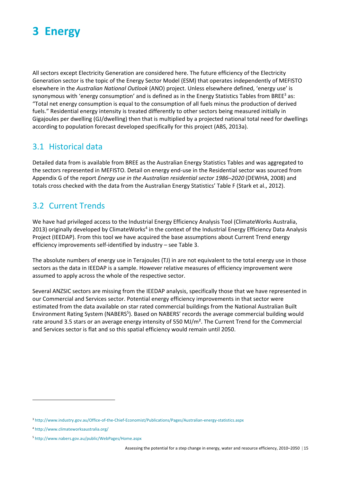

All sectors except Electricity Generation are considered here. The future efficiency of the Electricity Generation sector is the topic of the Energy Sector Model (ESM) that operates independently of MEFISTO elsewhere in the *Australian National Outlook* (ANO) project. Unless elsewhere defined, 'energy use' is synonymous with 'energy consumption' and is defined as in the Energy Statistics Tables from BREE<sup>3</sup> as: "Total net energy consumption is equal to the consumption of all fuels minus the production of derived fuels." Residential energy intensity is treated differently to other sectors being measured initially in Gigajoules per dwelling (GJ/dwelling) then that is multiplied by a projected national total need for dwellings according to population forecast developed specifically for this project (ABS, 2013a).

### 3.1 Historical data

Detailed data from is available from BREE as the Australian Energy Statistics Tables and was aggregated to the sectors represented in MEFISTO. Detail on energy end‐use in the Residential sector was sourced from Appendix G of the report *Energy use in the Australian residential sector 1986–2020* (DEWHA, 2008) and totals cross checked with the data from the Australian Energy Statistics' Table F (Stark et al., 2012).

### 3.2 Current Trends

We have had privileged access to the Industrial Energy Efficiency Analysis Tool (ClimateWorks Australia, 2013) originally developed by ClimateWorks<sup>4</sup> in the context of the Industrial Energy Efficiency Data Analysis Project (IEEDAP). From this tool we have acquired the base assumptions about Current Trend energy efficiency improvements self-identified by industry – see Table 3.

The absolute numbers of energy use in Terajoules (TJ) in are not equivalent to the total energy use in those sectors as the data in IEEDAP is a sample. However relative measures of efficiency improvement were assumed to apply across the whole of the respective sector.

Several ANZSIC sectors are missing from the IEEDAP analysis, specifically those that we have represented in our Commercial and Services sector. Potential energy efficiency improvements in that sector were estimated from the data available on star rated commercial buildings from the National Australian Built Environment Rating System (NABERS<sup>5</sup>). Based on NABERS' records the average commercial building would rate around 3.5 stars or an average energy intensity of 550 MJ/m<sup>2</sup>. The Current Trend for the Commercial and Services sector is flat and so this spatial efficiency would remain until 2050.

<sup>3</sup> http://www.industry.gov.au/Office-of-the-Chief-Economist/Publications/Pages/Australian-energy-statistics.aspx

<sup>4</sup> http://www.climateworksaustralia.org/

<sup>5</sup> http://www.nabers.gov.au/public/WebPages/Home.aspx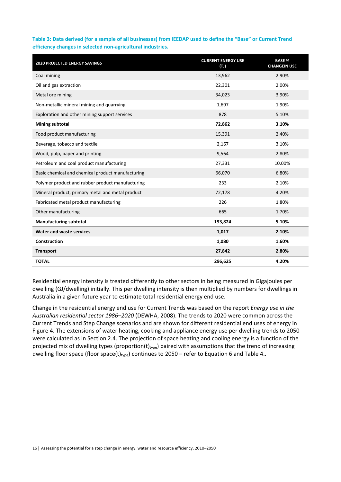**Table 3: Data derived (for a sample of all businesses) from IEEDAP used to define the "Base" or Current Trend efficiency changes in selected non‐agricultural industries.** 

| <b>2020 PROJECTED ENERGY SAVINGS</b>              | <b>CURRENT ENERGY USE</b><br>(T) | <b>BASE %</b><br><b>CHANGEIN USE</b> |
|---------------------------------------------------|----------------------------------|--------------------------------------|
| Coal mining                                       | 13,962                           | 2.90%                                |
| Oil and gas extraction                            | 22,301                           | 2.00%                                |
| Metal ore mining                                  | 34,023                           | 3.90%                                |
| Non-metallic mineral mining and quarrying         | 1,697                            | 1.90%                                |
| Exploration and other mining support services     | 878                              | 5.10%                                |
| Mining subtotal                                   | 72,862                           | 3.10%                                |
| Food product manufacturing                        | 15,391                           | 2.40%                                |
| Beverage, tobacco and textile                     | 2,167                            | 3.10%                                |
| Wood, pulp, paper and printing                    | 9,564                            | 2.80%                                |
| Petroleum and coal product manufacturing          | 27,331                           | 10.00%                               |
| Basic chemical and chemical product manufacturing | 66,070                           | 6.80%                                |
| Polymer product and rubber product manufacturing  | 233                              | 2.10%                                |
| Mineral product, primary metal and metal product  | 72,178                           | 4.20%                                |
| Fabricated metal product manufacturing            | 226                              | 1.80%                                |
| Other manufacturing                               | 665                              | 1.70%                                |
| <b>Manufacturing subtotal</b>                     | 193,824                          | 5.10%                                |
| <b>Water and waste services</b>                   | 1,017                            | 2.10%                                |
| <b>Construction</b>                               | 1,080                            | 1.60%                                |
| <b>Transport</b>                                  | 27,842                           | 2.80%                                |
| <b>TOTAL</b>                                      | 296,625                          | 4.20%                                |

Residential energy intensity is treated differently to other sectors in being measured in Gigajoules per dwelling (GJ/dwelling) initially. This per dwelling intensity is then multiplied by numbers for dwellings in Australia in a given future year to estimate total residential energy end use.

Change in the residential energy end use for Current Trends was based on the report *Energy use in the Australian residential sector 1986–2020* (DEWHA, 2008). The trends to 2020 were common across the Current Trends and Step Change scenarios and are shown for different residential end uses of energy in Figure 4. The extensions of water heating, cooking and appliance energy use per dwelling trends to 2050 were calculated as in Section 2.4. The projection of space heating and cooling energy is a function of the projected mix of dwelling types (proportion(t)<sub>type</sub>) paired with assumptions that the trend of increasing dwelling floor space (floor space(t)<sub>type</sub>) continues to 2050 – refer to Equation 6 and Table 4..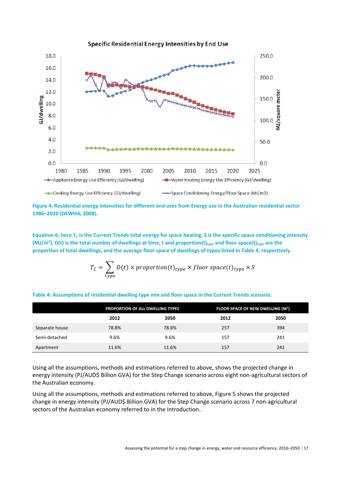

**Figure 4: Residential energy intensities for different end uses from Energy use in the Australian residential sector 1986–2020 (DEWHA, 2008).** 

**Equation 6: here**  $T_c$  **is the Current Trends total energy for space heating, S is the specific space conditioning intensity**  $(MJ/m<sup>2</sup>)$ , D(t) is the total number of dwellings at time, t and proportion(t)<sub>type</sub> and floor space(t)<sub>type</sub> are the **proportion of total dwellings, and the average floor space of dwellings of types listed in Table 4, respectively.** 

$$
T_C = \sum_{type} D(t) \times proportion(t)_{type} \times floor\ space(t)_{type} \times S
$$

|  |  | Table 4: Assumptions of residential dwelling type mix and floor space in the Current Trends scenario. |
|--|--|-------------------------------------------------------------------------------------------------------|
|--|--|-------------------------------------------------------------------------------------------------------|

|                | PROPORTION OF ALL DWELLING TYPES |       | FLOOR SPACE OF NEW DWELLING (M <sup>2</sup> ) |      |
|----------------|----------------------------------|-------|-----------------------------------------------|------|
|                | 2012                             | 2050  | 2012                                          | 2050 |
| Separate house | 78.8%                            | 78.8% | 257                                           | 394  |
| Semi-detached  | 9.6%                             | 9.6%  | 157                                           | 241  |
| Apartment      | 11.6%                            | 11.6% | 157                                           | 241  |

Using all the assumptions, methods and estimations referred to above, shows the projected change in energy intensity (PJ/AUD\$ Billion GVA) for the Step Change scenario across eight non-agricultural sectors of the Australian economy.

Using all the assumptions, methods and estimations referred to above, Figure 5 shows the projected change in energy intensity (PJ/AUD\$ Billion GVA) for the Step Change scenario across 7 non-agricultural sectors of the Australian economy referred to in the Introduction..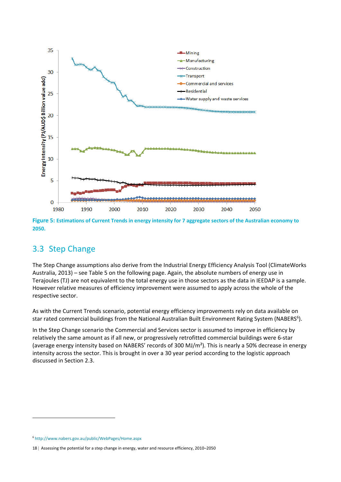

**Figure 5: Estimations of Current Trends in energy intensity for 7 aggregate sectors of the Australian economy to 2050.** 

### 3.3 Step Change

The Step Change assumptions also derive from the Industrial Energy Efficiency Analysis Tool (ClimateWorks Australia, 2013) – see Table 5 on the following page. Again, the absolute numbers of energy use in Terajoules (TJ) are not equivalent to the total energy use in those sectors as the data in IEEDAP is a sample. However relative measures of efficiency improvement were assumed to apply across the whole of the respective sector.

As with the Current Trends scenario, potential energy efficiency improvements rely on data available on star rated commercial buildings from the National Australian Built Environment Rating System (NABERS<sup>6</sup>).

In the Step Change scenario the Commercial and Services sector is assumed to improve in efficiency by relatively the same amount as if all new, or progressively retrofitted commercial buildings were 6‐star (average energy intensity based on NABERS' records of 300 MJ/m²). This is nearly a 50% decrease in energy intensity across the sector. This is brought in over a 30 year period according to the logistic approach discussed in Section 2.3.

<sup>6</sup> http://www.nabers.gov.au/public/WebPages/Home.aspx

<sup>18 |</sup> Assessing the potential for a step change in energy, water and resource efficiency, 2010-2050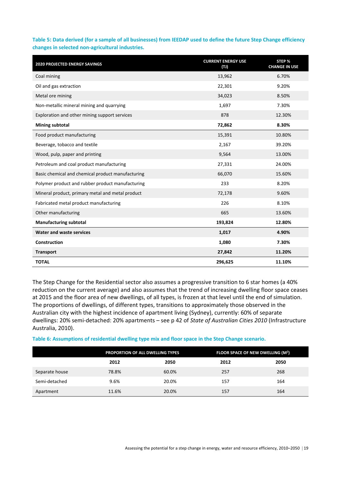**Table 5: Data derived (for a sample of all businesses) from IEEDAP used to define the future Step Change efficiency changes in selected non‐agricultural industries.** 

| <b>2020 PROJECTED ENERGY SAVINGS</b>              | <b>CURRENT ENERGY USE</b><br>(T) | STEP %<br><b>CHANGE IN USE</b> |
|---------------------------------------------------|----------------------------------|--------------------------------|
| Coal mining                                       | 13,962                           | 6.70%                          |
| Oil and gas extraction                            | 22,301                           | 9.20%                          |
| Metal ore mining                                  | 34,023                           | 8.50%                          |
| Non-metallic mineral mining and quarrying         | 1,697                            | 7.30%                          |
| Exploration and other mining support services     | 878                              | 12.30%                         |
| <b>Mining subtotal</b>                            | 72,862                           | 8.30%                          |
| Food product manufacturing                        | 15,391                           | 10.80%                         |
| Beverage, tobacco and textile                     | 2,167                            | 39.20%                         |
| Wood, pulp, paper and printing                    | 9,564                            | 13.00%                         |
| Petroleum and coal product manufacturing          | 27,331                           | 24.00%                         |
| Basic chemical and chemical product manufacturing | 66,070                           | 15.60%                         |
| Polymer product and rubber product manufacturing  | 233                              | 8.20%                          |
| Mineral product, primary metal and metal product  | 72,178                           | 9.60%                          |
| Fabricated metal product manufacturing            | 226                              | 8.10%                          |
| Other manufacturing                               | 665                              | 13.60%                         |
| <b>Manufacturing subtotal</b>                     | 193,824                          | 12.80%                         |
| <b>Water and waste services</b>                   | 1,017                            | 4.90%                          |
| <b>Construction</b>                               | 1,080                            | 7.30%                          |
| <b>Transport</b>                                  | 27,842                           | 11.20%                         |
| <b>TOTAL</b>                                      | 296,625                          | 11.10%                         |

The Step Change for the Residential sector also assumes a progressive transition to 6 star homes (a 40% reduction on the current average) and also assumes that the trend of increasing dwelling floor space ceases at 2015 and the floor area of new dwellings, of all types, is frozen at that level until the end of simulation. The proportions of dwellings, of different types, transitions to approximately those observed in the Australian city with the highest incidence of apartment living (Sydney), currently: 60% of separate dwellings: 20% semi‐detached: 20% apartments – see p 42 of *State of Australian Cities 2010* (Infrastructure Australia, 2010).

**Table 6: Assumptions of residential dwelling type mix and floor space in the Step Change scenario.** 

|                | PROPORTION OF ALL DWELLING TYPES |       | FLOOR SPACE OF NEW DWELLING (M <sup>2</sup> ) |      |
|----------------|----------------------------------|-------|-----------------------------------------------|------|
|                | 2012                             | 2050  | 2012                                          | 2050 |
| Separate house | 78.8%                            | 60.0% | 257                                           | 268  |
| Semi-detached  | 9.6%                             | 20.0% | 157                                           | 164  |
| Apartment      | 11.6%                            | 20.0% | 157                                           | 164  |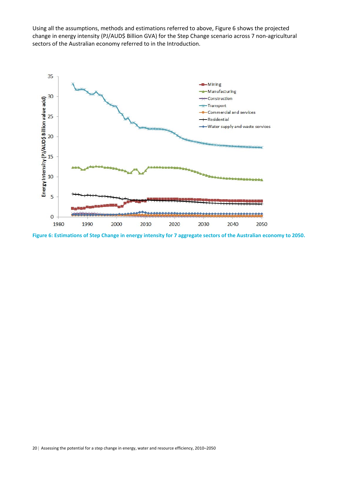Using all the assumptions, methods and estimations referred to above, Figure 6 shows the projected change in energy intensity (PJ/AUD\$ Billion GVA) for the Step Change scenario across 7 non-agricultural sectors of the Australian economy referred to in the Introduction.



**Figure 6: Estimations of Step Change in energy intensity for 7 aggregate sectors of the Australian economy to 2050.**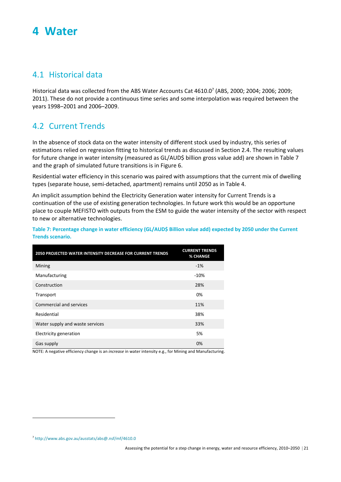## **4 Water**

### 4.1 Historical data

Historical data was collected from the ABS Water Accounts Cat 4610.07 (ABS, 2000; 2004; 2006; 2009; 2011). These do not provide a continuous time series and some interpolation was required between the years 1998–2001 and 2006–2009.

## 4.2 Current Trends

In the absence of stock data on the water intensity of different stock used by industry, this series of estimations relied on regression fitting to historical trends as discussed in Section 2.4. The resulting values for future change in water intensity (measured as GL/AUD\$ billion gross value add) are shown in Table 7 and the graph of simulated future transitions is in Figure 6.

Residential water efficiency in this scenario was paired with assumptions that the current mix of dwelling types (separate house, semi‐detached, apartment) remains until 2050 as in Table 4.

An implicit assumption behind the Electricity Generation water intensity for Current Trends is a continuation of the use of existing generation technologies. In future work this would be an opportune place to couple MEFISTO with outputs from the ESM to guide the water intensity of the sector with respect to new or alternative technologies.

**Table 7: Percentage change in water efficiency (GL/AUD\$ Billion value add) expected by 2050 under the Current Trends scenario.** 

| 2050 PROJECTED WATER INTENSITY DECREASE FOR CURRENT TRENDS | <b>CURRENT TRENDS</b><br>% CHANGE |
|------------------------------------------------------------|-----------------------------------|
| Mining                                                     | $-1%$                             |
| Manufacturing                                              | $-10%$                            |
| Construction                                               | 28%                               |
| Transport                                                  | 0%                                |
| Commercial and services                                    | 11%                               |
| Residential                                                | 38%                               |
| Water supply and waste services                            | 33%                               |
| Electricity generation                                     | 5%                                |
| Gas supply                                                 | 0%                                |

NOTE: A negative efficiency change is an *increase* in water intensity e.g., for Mining and Manufacturing.

<sup>7</sup> http://www.abs.gov.au/ausstats/abs@.nsf/mf/4610.0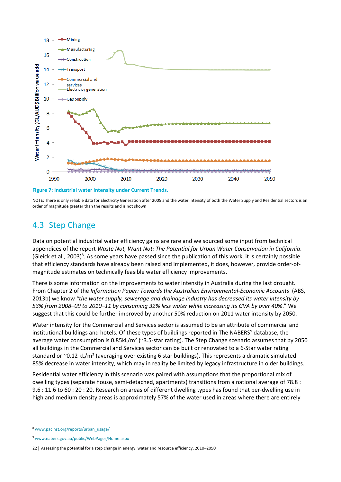

**Figure 7: Industrial water intensity under Current Trends.** 

NOTE: There is only reliable data for Electricity Generation after 2005 and the water intensity of both the Water Supply and Residential sectors is an order of magnitude greater than the results and is not shown

### 4.3 Step Change

Data on potential industrial water efficiency gains are rare and we sourced some input from technical appendices of the report *Waste Not, Want Not: The Potential for Urban Water Conservation in California*. (Gleick et al., 2003)<sup>8</sup>. As some years have passed since the publication of this work, it is certainly possible that efficiency standards have already been raised and implemented, it does, however, provide order‐of‐ magnitude estimates on technically feasible water efficiency improvements.

There is some information on the improvements to water intensity in Australia during the last drought. From Chapter 2 of the *Information Paper: Towards the Australian Environmental‐Economic Accounts* (ABS, 2013b) we know *"the water supply, sewerage and drainage industry has decreased its water intensity by 53% from 2008–09 to 2010–11 by consuming 32% less water while increasing its GVA by over 40%*." We suggest that this could be further improved by another 50% reduction on 2011 water intensity by 2050.

Water intensity for the Commercial and Services sector is assumed to be an attribute of commercial and institutional buildings and hotels. Of these types of buildings reported in The NABERS<sup>9</sup> database, the average water consumption is 0.85kL/m<sup>2</sup> ( $\approx$ 3.5-star rating). The Step Change scenario assumes that by 2050 all buildings in the Commercial and Services sector can be built or renovated to a 6‐Star water rating standard or ~0.12 kL/m<sup>2</sup> (averaging over existing 6 star buildings). This represents a dramatic simulated 85% decrease in water intensity, which may in reality be limited by legacy infrastructure in older buildings.

Residential water efficiency in this scenario was paired with assumptions that the proportional mix of dwelling types (separate house, semi‐detached, apartments) transitions from a national average of 78.8 : 9.6 : 11.6 to 60 : 20 : 20. Research on areas of different dwelling types has found that per-dwelling use in high and medium density areas is approximately 57% of the water used in areas where there are entirely

<sup>8</sup> www.pacinst.org/reports/urban\_usage/

<sup>9</sup> www.nabers.gov.au/public/WebPages/Home.aspx

<sup>22 |</sup> Assessing the potential for a step change in energy, water and resource efficiency, 2010-2050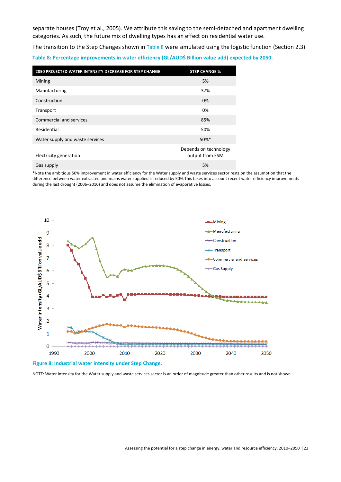separate houses (Troy et al., 2005). We attribute this saving to the semi-detached and apartment dwelling categories. As such, the future mix of dwelling types has an effect on residential water use.

The transition to the Step Changes shown in Table 8 were simulated using the logistic function (Section 2.3) **Table 8: Percentage improvements in water efficiency (GL/AUD\$ Billion value add) expected by 2050.** 

| 2050 PROJECTED WATER INTENSITY DECREASE FOR STEP CHANGE | <b>STEP CHANGE %</b>                     |
|---------------------------------------------------------|------------------------------------------|
| Mining                                                  | 5%                                       |
| Manufacturing                                           | 37%                                      |
| Construction                                            | 0%                                       |
| Transport                                               | 0%                                       |
| Commercial and services                                 | 85%                                      |
| Residential                                             | 50%                                      |
| Water supply and waste services                         | $50\%$ *                                 |
| Electricity generation                                  | Depends on technology<br>output from ESM |
| Gas supply                                              | 5%                                       |

\*Note the ambitious 50% improvement in water efficiency for the Water supply and waste services sector rests on the assumption that the difference between water extracted and mains water supplied is reduced by 50%.This takes into account recent water efficiency improvements during the last drought (2006–2010) and does not assume the elimination of evaporative losses.



**Figure 8: Industrial water intensity under Step Change.** 

NOTE: Water intensity for the Water supply and waste services sector is an order of magnitude greater than other results and is not shown.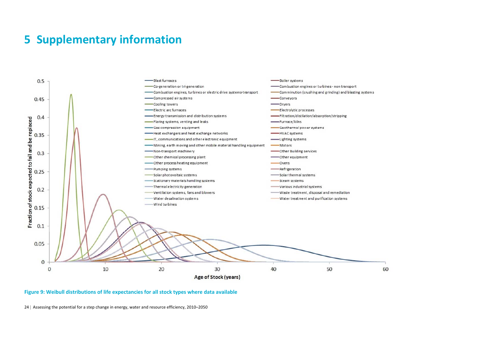## **5 Supplementary information**



#### **Figure 9: Weibull distributions of life expectancies for all stock types where data available**

24 | Assessing the potential for a step change in energy, water and resource efficiency, 2010–2050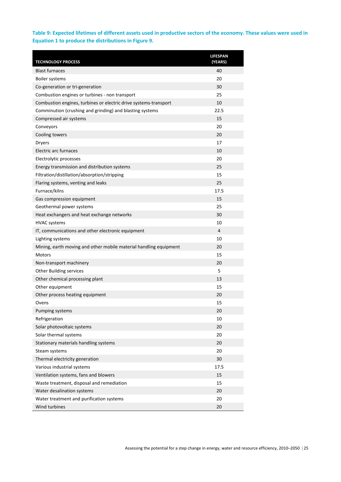#### **Table 9: Expected lifetimes of different assets used in productive sectors of the economy. These values were used in Equation 1 to produce the distributions in Figure 9.**

| <b>TECHNOLOGY PROCESS</b>                                         | <b>LIFESPAN</b><br>(YEARS) |
|-------------------------------------------------------------------|----------------------------|
| <b>Blast furnaces</b>                                             | 40                         |
| <b>Boiler systems</b>                                             | 20                         |
| Co-generation or tri-generation                                   | 30                         |
| Combustion engines or turbines - non transport                    | 25                         |
| Combustion engines, turbines or electric drive systems-transport  | 10                         |
| Comminution (crushing and grinding) and blasting systems          | 22.5                       |
| Compressed air systems                                            | 15                         |
| Conveyors                                                         | 20                         |
| Cooling towers                                                    | 20                         |
| <b>Dryers</b>                                                     | 17                         |
| <b>Electric arc furnaces</b>                                      | 10                         |
| Electrolytic processes                                            | 20                         |
| Energy transmission and distribution systems                      | 25                         |
| Filtration/distillation/absorption/stripping                      | 15                         |
| Flaring systems, venting and leaks                                | 25                         |
| Furnace/kilns                                                     | 17.5                       |
| Gas compression equipment                                         | 15                         |
| Geothermal power systems                                          | 25                         |
| Heat exchangers and heat exchange networks                        | 30                         |
| <b>HVAC</b> systems                                               | 10                         |
| IT, communications and other electronic equipment                 | 4                          |
| Lighting systems                                                  | 10                         |
| Mining, earth moving and other mobile material handling equipment | 20                         |
| Motors                                                            | 15                         |
| Non-transport machinery                                           | 20                         |
| <b>Other Building services</b>                                    | 5.                         |
| Other chemical processing plant                                   | 13                         |
| Other equipment                                                   | 15                         |
| Other process heating equipment                                   | 20                         |
| Ovens                                                             | 15                         |
| Pumping systems                                                   | 20                         |
| Refrigeration                                                     | 10                         |
| Solar photovoltaic systems                                        | 20                         |
| Solar thermal systems                                             | 20                         |
| Stationary materials handling systems                             | 20                         |
| Steam systems                                                     | 20                         |
| Thermal electricity generation                                    | 30                         |
| Various industrial systems                                        | 17.5                       |
| Ventilation systems, fans and blowers                             | 15                         |
| Waste treatment, disposal and remediation                         | 15                         |
| Water desalination systems                                        | 20                         |
| Water treatment and purification systems                          | 20                         |
| Wind turbines                                                     | 20                         |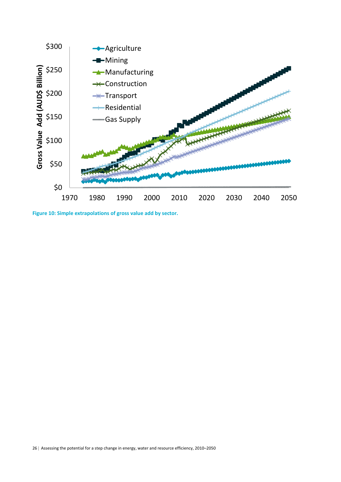

**Figure 10: Simple extrapolations of gross value add by sector.**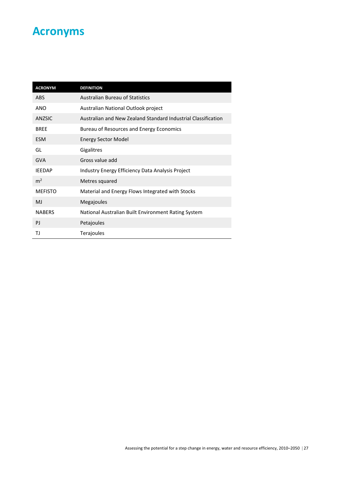## **Acronyms**

| <b>ACRONYM</b> | <b>DEFINITION</b>                                             |
|----------------|---------------------------------------------------------------|
| <b>ABS</b>     | <b>Australian Bureau of Statistics</b>                        |
| <b>ANO</b>     | Australian National Outlook project                           |
| ANZSIC         | Australian and New Zealand Standard Industrial Classification |
| <b>BREE</b>    | Bureau of Resources and Energy Economics                      |
| <b>ESM</b>     | <b>Energy Sector Model</b>                                    |
| GL             | Gigalitres                                                    |
| <b>GVA</b>     | Gross value add                                               |
| <b>IEEDAP</b>  | Industry Energy Efficiency Data Analysis Project              |
| m <sup>2</sup> | Metres squared                                                |
| <b>MEFISTO</b> | Material and Energy Flows Integrated with Stocks              |
| MJ             | Megajoules                                                    |
| <b>NABERS</b>  | National Australian Built Environment Rating System           |
| PJ             | Petajoules                                                    |
| TJ             | Terajoules                                                    |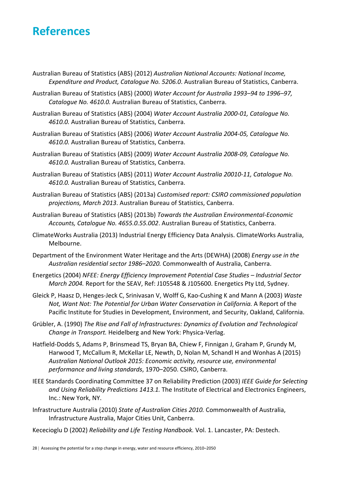## **References**

- Australian Bureau of Statistics (ABS) (2012) *Australian National Accounts: National Income, Expenditure and Product, Catalogue No. 5206.0*. Australian Bureau of Statistics, Canberra.
- Australian Bureau of Statistics (ABS) (2000) *Water Account for Australia 1993–94 to 1996–97, Catalogue No. 4610.0.* Australian Bureau of Statistics, Canberra.
- Australian Bureau of Statistics (ABS) (2004) *Water Account Australia 2000‐01, Catalogue No. 4610.0.* Australian Bureau of Statistics, Canberra.
- Australian Bureau of Statistics (ABS) (2006) *Water Account Australia 2004‐05, Catalogue No. 4610.0.* Australian Bureau of Statistics, Canberra.
- Australian Bureau of Statistics (ABS) (2009) *Water Account Australia 2008‐09, Catalogue No. 4610.0.* Australian Bureau of Statistics, Canberra.
- Australian Bureau of Statistics (ABS) (2011) *Water Account Australia 20010‐11, Catalogue No. 4610.0.* Australian Bureau of Statistics, Canberra.
- Australian Bureau of Statistics (ABS) (2013a) *Customised report: CSIRO commissioned population projections, March 2013*. Australian Bureau of Statistics, Canberra.
- Australian Bureau of Statistics (ABS) (2013b) *Towards the Australian Environmental‐Economic Accounts, Catalogue No. 4655.0.55.002*. Australian Bureau of Statistics, Canberra.
- ClimateWorks Australia (2013) Industrial Energy Efficiency Data Analysis. ClimateWorks Australia, Melbourne.
- Department of the Environment Water Heritage and the Arts (DEWHA) (2008) *Energy use in the Australian residential sector 1986–2020.* Commonwealth of Australia, Canberra.
- Energetics (2004) *NFEE: Energy Efficiency Improvement Potential Case Studies – Industrial Sector March 2004.* Report for the SEAV, Ref: J105548 & J105600. Energetics Pty Ltd, Sydney.
- Gleick P, Haasz D, Henges‐Jeck C, Srinivasan V, Wolff G, Kao‐Cushing K and Mann A (2003) *Waste Not, Want Not: The Potential for Urban Water Conservation in California.* A Report of the Pacific Institute for Studies in Development, Environment, and Security, Oakland, California.
- Grübler, A. (1990) *The Rise and Fall of Infrastructures: Dynamics of Evolution and Technological Change in Transport.* Heidelberg and New York: Physica‐Verlag.
- Hatfield-Dodds S, Adams P, Brinsmead TS, Bryan BA, Chiew F, Finnigan J, Graham P, Grundy M, Harwood T, McCallum R, McKellar LE, Newth, D, Nolan M, Schandl H and Wonhas A (2015) *Australian National Outlook 2015: Economic activity, resource use, environmental performance and living standards*, 1970–2050. CSIRO, Canberra.
- IEEE Standards Coordinating Committee 37 on Reliability Prediction (2003) *IEEE Guide for Selecting and Using Reliability Predictions 1413.1.* The Institute of Electrical and Electronics Engineers, Inc.: New York, NY.
- Infrastructure Australia (2010) *State of Australian Cities 2010.* Commonwealth of Australia, Infrastructure Australia, Major Cities Unit, Canberra.
- Kececioglu D (2002) *Reliability and Life Testing Handbook.* Vol. 1. Lancaster, PA: Destech.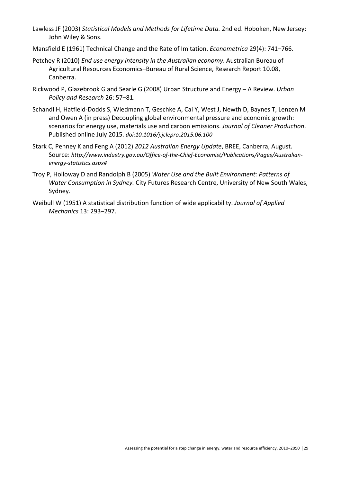- Lawless JF (2003) *Statistical Models and Methods for Lifetime Data.* 2nd ed. Hoboken, New Jersey: John Wiley & Sons.
- Mansfield E (1961) Technical Change and the Rate of Imitation. *Econometrica* 29(4): 741–766.
- Petchey R (2010) *End use energy intensity in the Australian economy*. Australian Bureau of Agricultural Resources Economics–Bureau of Rural Science, Research Report 10.08, Canberra.
- Rickwood P, Glazebrook G and Searle G (2008) Urban Structure and Energy A Review. *Urban Policy and Research* 26: 57–81.
- Schandl H, Hatfield‐Dodds S, Wiedmann T, Geschke A, Cai Y, West J, Newth D, Baynes T, Lenzen M and Owen A (in press) Decoupling global environmental pressure and economic growth: scenarios for energy use, materials use and carbon emissions. *Journal of Cleaner Production*. Published online July 2015. *doi:10.1016/j.jclepro.2015.06.100*
- Stark C, Penney K and Feng A (2012) *2012 Australian Energy Update*, BREE, Canberra, August. Source: *http://www.industry.gov.au/Office‐of‐the‐Chief‐Economist/Publications/Pages/Australian‐ energy‐statistics.aspx#*
- Troy P, Holloway D and Randolph B (2005) *Water Use and the Built Environment: Patterns of Water Consumption in Sydney.* City Futures Research Centre, University of New South Wales, Sydney.
- Weibull W (1951) A statistical distribution function of wide applicability. *Journal of Applied Mechanics* 13: 293–297.